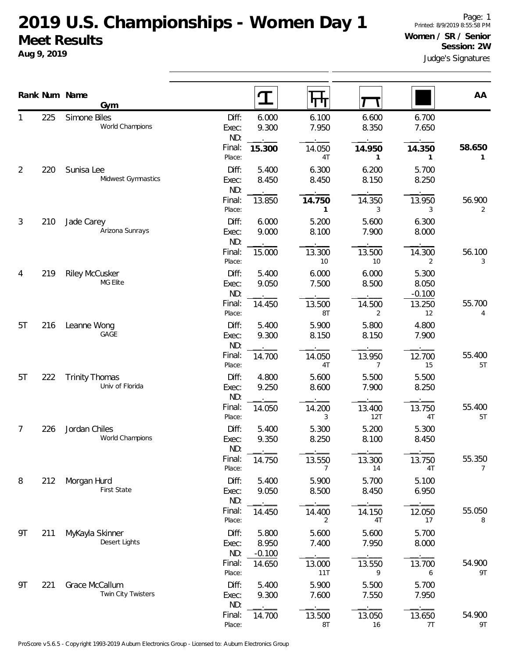## **2019 U.S. Championships - Women Day 1 Meet Results**

**Aug 9, 2019**

|    | Rank Num Name | Gym                                      |                       | T                          | पा                     |                |                            | AA                       |
|----|---------------|------------------------------------------|-----------------------|----------------------------|------------------------|----------------|----------------------------|--------------------------|
|    | 225           | Simone Biles<br>World Champions          | Diff:<br>Exec:<br>ND: | 6.000<br>9.300             | 6.100<br>7.950         | 6.600<br>8.350 | 6.700<br>7.650             |                          |
|    |               |                                          | Final:<br>Place:      | 15.300                     | 14.050<br>4T           | 14.950<br>1    | 14.350<br>1                | 58.650<br>1              |
| 2  | 220           | Sunisa Lee<br>Midwest Gymnastics         | Diff:<br>Exec:<br>ND: | 5.400<br>8.450             | 6.300<br>8.450         | 6.200<br>8.150 | 5.700<br>8.250             |                          |
|    |               |                                          | Final:<br>Place:      | 13.850                     | 14.750<br>$\mathbf{1}$ | 14.350<br>3    | 13.950<br>3                | 56.900<br>2              |
| 3  | 210           | Jade Carey<br>Arizona Sunrays            | Diff:<br>Exec:<br>ND: | 6.000<br>9.000             | 5.200<br>8.100         | 5.600<br>7.900 | 6.300<br>8.000             |                          |
|    |               |                                          | Final:<br>Place:      | 15.000                     | 13.300<br>10           | 13.500<br>10   | 14.300<br>2                | 56.100<br>3              |
| 4  | 219           | <b>Riley McCusker</b><br>MG Elite        | Diff:<br>Exec:<br>ND: | 5.400<br>9.050             | 6.000<br>7.500         | 6.000<br>8.500 | 5.300<br>8.050<br>$-0.100$ |                          |
|    |               |                                          | Final:<br>Place:      | 14.450                     | 13.500<br>8T           | 14.500<br>2    | 13.250<br>12               | 55.700<br>4              |
| 5T | 216           | Leanne Wong<br>GAGE                      | Diff:<br>Exec:<br>ND: | 5.400<br>9.300             | 5.900<br>8.150         | 5.800<br>8.150 | 4.800<br>7.900             |                          |
|    |               |                                          | Final:<br>Place:      | 14.700                     | 14.050<br>4T           | 13.950<br>7    | 12.700<br>15               | 55.400<br>5T             |
| 5T | 222           | <b>Trinity Thomas</b><br>Univ of Florida | Diff:<br>Exec:<br>ND: | 4.800<br>9.250             | 5.600<br>8.600         | 5.500<br>7.900 | 5.500<br>8.250             |                          |
|    |               |                                          | Final:<br>Place:      | 14.050                     | 14.200<br>3            | 13.400<br>12T  | 13.750<br>4T               | 55.400<br>5T             |
| 7  | 226           | Jordan Chiles<br>World Champions         | Diff:<br>Exec:<br>ND: | 5.400<br>9.350             | 5.300<br>8.250         | 5.200<br>8.100 | 5.300<br>8.450             |                          |
|    |               |                                          | Final:<br>Place:      | 14.750                     | 13.550<br>7            | 13.300<br>14   | 13.750<br>4T               | 55.350<br>$\overline{7}$ |
| 8  | 212           | Morgan Hurd<br>First State               | Diff:<br>Exec:<br>ND: | 5.400<br>9.050             | 5.900<br>8.500         | 5.700<br>8.450 | 5.100<br>6.950             |                          |
|    |               |                                          | Final:<br>Place:      | 14.450                     | 14.400<br>2            | 14.150<br>4T   | 12.050<br>17               | 55.050<br>8              |
| 9T | 211           | MyKayla Skinner<br>Desert Lights         | Diff:<br>Exec:<br>ND: | 5.800<br>8.950<br>$-0.100$ | 5.600<br>7.400         | 5.600<br>7.950 | 5.700<br>8.000             |                          |
|    |               |                                          | Final:<br>Place:      | 14.650                     | 13.000<br>11T          | 13.550<br>9    | 13.700<br>6                | 54.900<br>9T             |
| 9T | 221           | Grace McCallum<br>Twin City Twisters     | Diff:<br>Exec:<br>ND: | 5.400<br>9.300             | 5.900<br>7.600         | 5.500<br>7.550 | 5.700<br>7.950             |                          |
|    |               |                                          | Final:<br>Place:      | 14.700                     | 13.500<br>8T           | 13.050<br>16   | 13.650<br>7T               | 54.900<br>9T             |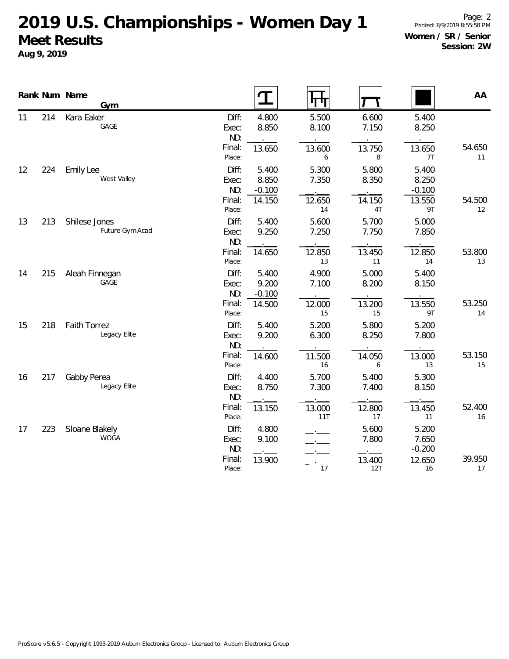## **2019 U.S. Championships - Women Day 1 Meet Results Aug 9, 2019**

|    |     | Rank Num Name<br>Gym |        |        |        |
|----|-----|----------------------|--------|--------|--------|
| 11 | 214 | Kara Eaker           | Diff:  | 4.800  | 5.500  |
|    |     | GAGE                 | Exec:  | 8.850  | 8.100  |
|    |     |                      | ND:    |        |        |
|    |     |                      | Final: | 13.650 | 13.600 |

ProScore v5.6.5 - Copyright 1993-2019 Auburn Electronics Group - Licensed to: Auburn Electronics Group

|    |     | Rank Num Name<br>Gym                |                                                     | T                                    | ┞┯╀┰                                 |                                      |                                            | AA                 |
|----|-----|-------------------------------------|-----------------------------------------------------|--------------------------------------|--------------------------------------|--------------------------------------|--------------------------------------------|--------------------|
| 11 | 214 | Kara Eaker<br>GAGE                  | Diff:<br>Exec:<br>ND:<br>Final:                     | 4.800<br>8.850<br>13.650             | 5.500<br>8.100<br>13.600             | 6.600<br>7.150<br>13.750             | 5.400<br>8.250<br>13.650                   | 54.650             |
| 12 | 224 | <b>Emily Lee</b><br>West Valley     | Place:<br>Diff:<br>Exec:<br>ND:<br>Final:           | 5.400<br>8.850<br>$-0.100$<br>14.150 | 6<br>5.300<br>7.350<br>12.650        | 8<br>5.800<br>8.350<br>14.150        | 7T<br>5.400<br>8.250<br>$-0.100$<br>13.550 | 11<br>54.500       |
| 13 | 213 | Shilese Jones<br>Future Gym Acad    | Place:<br>Diff:<br>Exec:<br>ND:<br>Final:<br>Place: | 5.400<br>9.250<br>14.650             | 14<br>5.600<br>7.250<br>12.850<br>13 | 4T<br>5.700<br>7.750<br>13.450<br>11 | 9T<br>5.000<br>7.850<br>12.850<br>14       | 12<br>53.800<br>13 |
| 14 | 215 | Aleah Finnegan<br>GAGE              | Diff:<br>Exec:<br>ND:<br>Final:<br>Place:           | 5.400<br>9.200<br>$-0.100$<br>14.500 | 4.900<br>7.100<br>12.000<br>15       | 5.000<br>8.200<br>13.200<br>15       | 5.400<br>8.150<br>13.550<br>9T             | 53.250<br>14       |
| 15 | 218 | <b>Faith Torrez</b><br>Legacy Elite | Diff:<br>Exec:<br>ND:                               | 5.400<br>9.200                       | 5.200<br>6.300                       | 5.800<br>8.250                       | 5.200<br>7.800                             | 53.150             |
| 16 | 217 | Gabby Perea<br>Legacy Elite         | Final:<br>Place:<br>Diff:<br>Exec:<br>ND:           | 14.600<br>4.400<br>8.750             | 11.500<br>16<br>5.700<br>7.300       | 14.050<br>6<br>5.400<br>7.400        | 13.000<br>13<br>5.300<br>8.150             | 15                 |
| 17 | 223 | Sloane Blakely<br><b>WOGA</b>       | Final:<br>Place:<br>Diff:<br>Exec:                  | 13.150<br>4.800<br>9.100             | 13.000<br>11T                        | 12.800<br>17<br>5.600<br>7.800       | 13.450<br>11<br>5.200<br>7.650             | 52.400<br>16       |
|    |     |                                     | ND:<br>Final:<br>Place:                             | 13.900                               | 17                                   | 13.400<br>12T                        | $-0.200$<br>12.650<br>16                   | 39.950<br>17       |